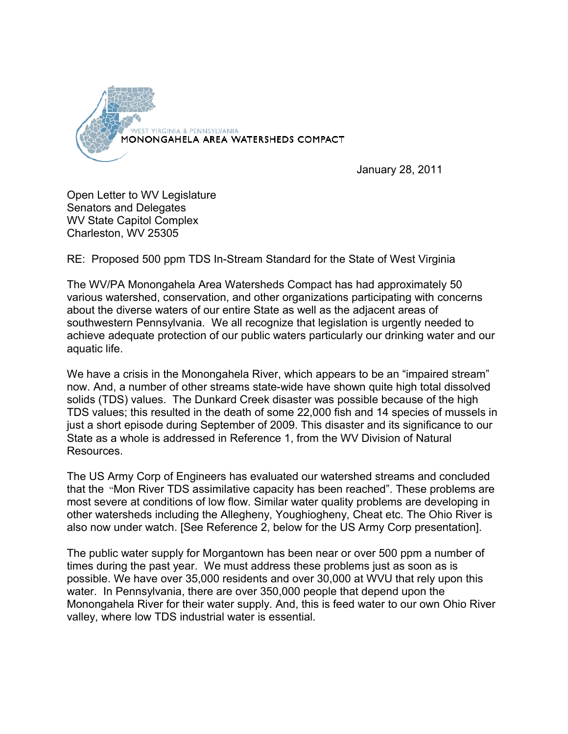

January 28, 2011

Open Letter to WV Legislature Senators and Delegates WV State Capitol Complex Charleston, WV 25305

RE: Proposed 500 ppm TDS In-Stream Standard for the State of West Virginia

The WV/PA Monongahela Area Watersheds Compact has had approximately 50 various watershed, conservation, and other organizations participating with concerns about the diverse waters of our entire State as well as the adjacent areas of southwestern Pennsylvania. We all recognize that legislation is urgently needed to achieve adequate protection of our public waters particularly our drinking water and our aquatic life.

We have a crisis in the Monongahela River, which appears to be an "impaired stream" now. And, a number of other streams state-wide have shown quite high total dissolved solids (TDS) values. The Dunkard Creek disaster was possible because of the high TDS values; this resulted in the death of some 22,000 fish and 14 species of mussels in just a short episode during September of 2009. This disaster and its significance to our State as a whole is addressed in Reference 1, from the WV Division of Natural Resources.

The US Army Corp of Engineers has evaluated our watershed streams and concluded that the "Mon River TDS assimilative capacity has been reached". These problems are most severe at conditions of low flow. Similar water quality problems are developing in other watersheds including the Allegheny, Youghiogheny, Cheat etc. The Ohio River is also now under watch. [See Reference 2, below for the US Army Corp presentation].

The public water supply for Morgantown has been near or over 500 ppm a number of times during the past year. We must address these problems just as soon as is possible. We have over 35,000 residents and over 30,000 at WVU that rely upon this water. In Pennsylvania, there are over 350,000 people that depend upon the Monongahela River for their water supply. And, this is feed water to our own Ohio River valley, where low TDS industrial water is essential.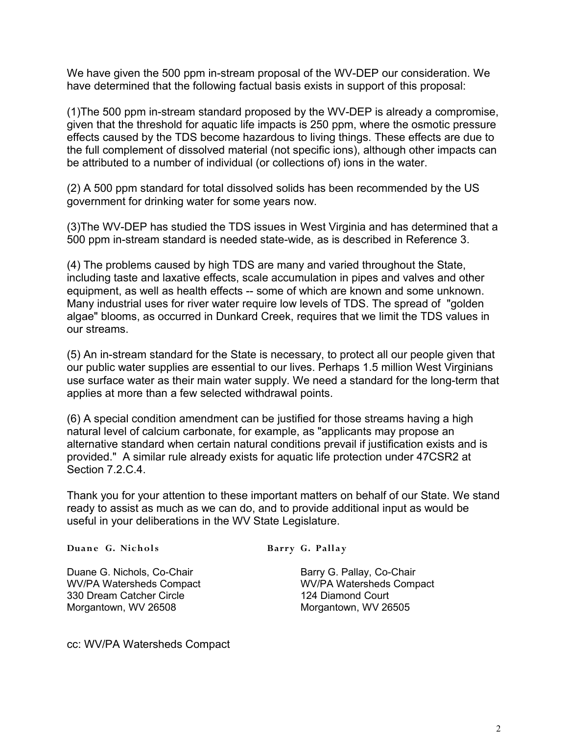We have given the 500 ppm in-stream proposal of the WV-DEP our consideration. We have determined that the following factual basis exists in support of this proposal:

(1)The 500 ppm in-stream standard proposed by the WV-DEP is already a compromise, given that the threshold for aquatic life impacts is 250 ppm, where the osmotic pressure effects caused by the TDS become hazardous to living things. These effects are due to the full complement of dissolved material (not specific ions), although other impacts can be attributed to a number of individual (or collections of) ions in the water.

(2) A 500 ppm standard for total dissolved solids has been recommended by the US government for drinking water for some years now.

(3)The WV-DEP has studied the TDS issues in West Virginia and has determined that a 500 ppm in-stream standard is needed state-wide, as is described in Reference 3.

(4) The problems caused by high TDS are many and varied throughout the State, including taste and laxative effects, scale accumulation in pipes and valves and other equipment, as well as health effects -- some of which are known and some unknown. Many industrial uses for river water require low levels of TDS. The spread of "golden algae" blooms, as occurred in Dunkard Creek, requires that we limit the TDS values in our streams.

(5) An in-stream standard for the State is necessary, to protect all our people given that our public water supplies are essential to our lives. Perhaps 1.5 million West Virginians use surface water as their main water supply. We need a standard for the long-term that applies at more than a few selected withdrawal points.

(6) A special condition amendment can be justified for those streams having a high natural level of calcium carbonate, for example, as "applicants may propose an alternative standard when certain natural conditions prevail if justification exists and is provided." A similar rule already exists for aquatic life protection under 47CSR2 at Section 7.2.C.4.

Thank you for your attention to these important matters on behalf of our State. We stand ready to assist as much as we can do, and to provide additional input as would be useful in your deliberations in the WV State Legislature.

**Duane G. Nichols Barry G. Pallay** 

Duane G. Nichols, Co-Chair **Barry G. Pallay, Co-Chair** Barry G. Pallay, Co-Chair WV/PA Watersheds Compact WV/PA Watersheds Compact 330 Dream Catcher Circle 124 Diamond Court Morgantown, WV 26508 Morgantown, WV 26505

cc: WV/PA Watersheds Compact